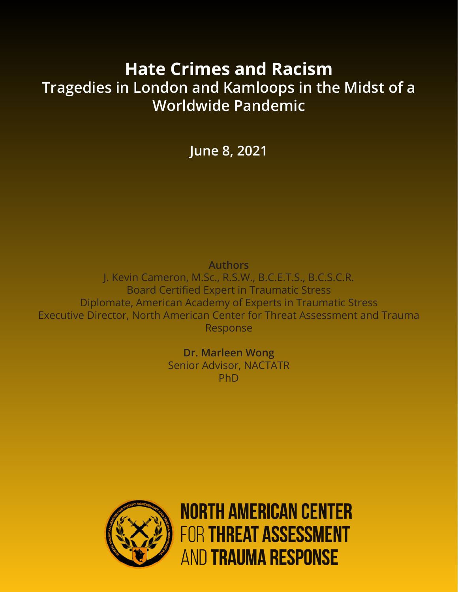# **Hate Crimes and Racism Tragedies in London and Kamloops in the Midst of a Worldwide Pandemic**

**June 8, 2021**

**Authors**

J. Kevin Cameron, M.Sc., R.S.W., B.C.E.T.S., B.C.S.C.R. Board Certified Expert in Traumatic Stress Diplomate, American Academy of Experts in Traumatic Stress Executive Director, North American Center for Threat Assessment and Trauma Response

> **Dr. Marleen Wong** Senior Advisor, NACTATR PhD



**NORTH AMERICAN CENTER FOR THREAT ASSESSMENT AND TRAUMA RESPONSE**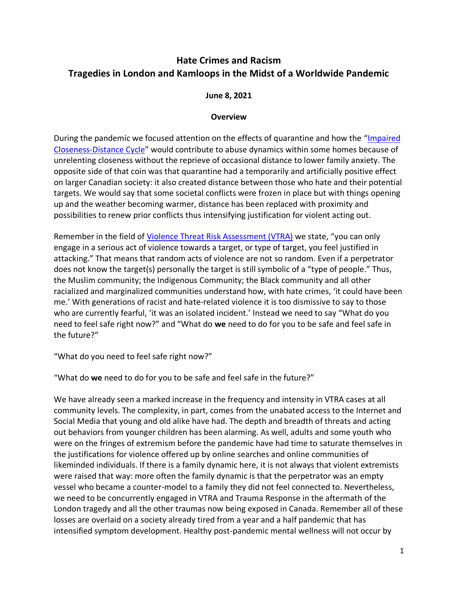# **Hate Crimes and Racism Tragedies in London and Kamloops in the Midst of a Worldwide Pandemic**

#### **June 8, 2021**

#### **Overview**

During the pandemic we focused attention on the effects of quarantine and how the "[Impaired](https://nactatr.com/news/AYearLater.html)  [Closeness-Distance Cycle](https://nactatr.com/news/AYearLater.html)" would contribute to abuse dynamics within some homes because of unrelenting closeness without the reprieve of occasional distance to lower family anxiety. The opposite side of that coin was that quarantine had a temporarily and artificially positive effect on larger Canadian society: it also created distance between those who hate and their potential targets. We would say that some societal conflicts were frozen in place but with things opening up and the weather becoming warmer, distance has been replaced with proximity and possibilities to renew prior conflicts thus intensifying justification for violent acting out.

Remember in the field of [Violence Threat Risk Assessment \(VTRA\)](https://nactatr.com/vtra.html) we state, "you can only engage in a serious act of violence towards a target, or type of target, you feel justified in attacking." That means that random acts of violence are not so random. Even if a perpetrator does not know the target(s) personally the target is still symbolic of a "type of people." Thus, the Muslim community; the Indigenous Community; the Black community and all other racialized and marginalized communities understand how, with hate crimes, 'it could have been me.' With generations of racist and hate-related violence it is too dismissive to say to those who are currently fearful, 'it was an isolated incident.' Instead we need to say "What do you need to feel safe right now?" and "What do **we** need to do for you to be safe and feel safe in the future?"

"What do you need to feel safe right now?"

"What do **we** need to do for you to be safe and feel safe in the future?"

We have already seen a marked increase in the frequency and intensity in VTRA cases at all community levels. The complexity, in part, comes from the unabated access to the Internet and Social Media that young and old alike have had. The depth and breadth of threats and acting out behaviors from younger children has been alarming. As well, adults and some youth who were on the fringes of extremism before the pandemic have had time to saturate themselves in the justifications for violence offered up by online searches and online communities of likeminded individuals. If there is a family dynamic here, it is not always that violent extremists were raised that way: more often the family dynamic is that the perpetrator was an empty vessel who became a counter-model to a family they did not feel connected to. Nevertheless, we need to be concurrently engaged in VTRA and Trauma Response in the aftermath of the London tragedy and all the other traumas now being exposed in Canada. Remember all of these losses are overlaid on a society already tired from a year and a half pandemic that has intensified symptom development. Healthy post-pandemic mental wellness will not occur by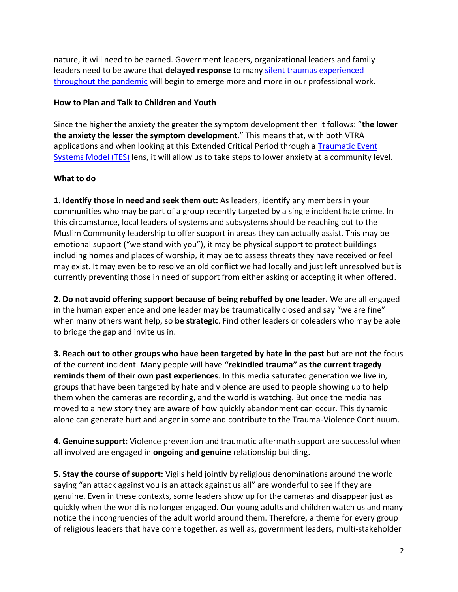nature, it will need to be earned. Government leaders, organizational leaders and family leaders need to be aware that **delayed response** to many [silent traumas experienced](https://nactatr.com/news/InterimGuidelines.html)  [throughout the pandemic](https://nactatr.com/news/InterimGuidelines.html) will begin to emerge more and more in our professional work.

## **How to Plan and Talk to Children and Youth**

Since the higher the anxiety the greater the symptom development then it follows: "**the lower the anxiety the lesser the symptom development.**" This means that, with both VTRA applications and when looking at this Extended Critical Period through a [Traumatic Event](https://nactatr.com/tes.html)  [Systems Model \(TES\)](https://nactatr.com/tes.html) lens, it will allow us to take steps to lower anxiety at a community level.

## **What to do**

**1. Identify those in need and seek them out:** As leaders, identify any members in your communities who may be part of a group recently targeted by a single incident hate crime. In this circumstance, local leaders of systems and subsystems should be reaching out to the Muslim Community leadership to offer support in areas they can actually assist. This may be emotional support ("we stand with you"), it may be physical support to protect buildings including homes and places of worship, it may be to assess threats they have received or feel may exist. It may even be to resolve an old conflict we had locally and just left unresolved but is currently preventing those in need of support from either asking or accepting it when offered.

**2. Do not avoid offering support because of being rebuffed by one leader.** We are all engaged in the human experience and one leader may be traumatically closed and say "we are fine" when many others want help, so **be strategic**. Find other leaders or coleaders who may be able to bridge the gap and invite us in.

**3. Reach out to other groups who have been targeted by hate in the past** but are not the focus of the current incident. Many people will have **"[rekindled trauma](https://nactatr.com/news/RekindledTrauma.html)" as the current tragedy reminds them of their own past experiences**. In this media saturated generation we live in, groups that have been targeted by hate and violence are used to people showing up to help them when the cameras are recording, and the world is watching. But once the media has moved to a new story they are aware of how quickly abandonment can occur. This dynamic alone can generate hurt and anger in some and contribute to the Trauma-Violence Continuum.

**4. Genuine support:** Violence prevention and traumatic aftermath support are successful when all involved are engaged in **ongoing and genuine** relationship building.

**5. Stay the course of support:** Vigils held jointly by religious denominations around the world saying "an attack against you is an attack against us all" are wonderful to see if they are genuine. Even in these contexts, some leaders show up for the cameras and disappear just as quickly when the world is no longer engaged. Our young adults and children watch us and many notice the incongruencies of the adult world around them. Therefore, a theme for every group of religious leaders that have come together, as well as, government leaders, multi-stakeholder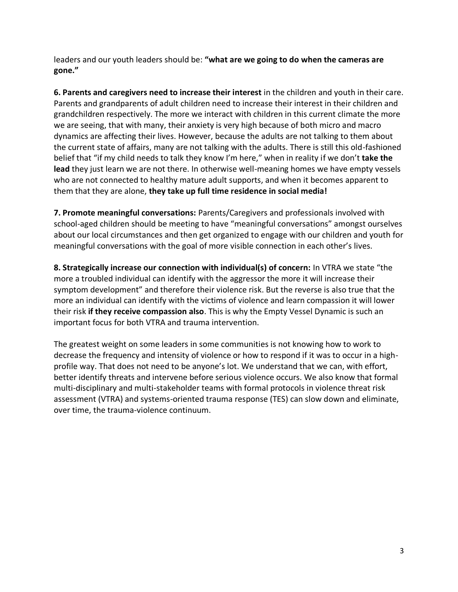leaders and our youth leaders should be: **"what are we going to do when the cameras are gone."**

**6. Parents and caregivers need to increase their interest** in the children and youth in their care. Parents and grandparents of adult children need to increase their interest in their children and grandchildren respectively. The more we interact with children in this current climate the more we are seeing, that with many, their anxiety is very high because of both micro and macro dynamics are affecting their lives. However, because the adults are not talking to them about the current state of affairs, many are not talking with the adults. There is still this old-fashioned belief that "if my child needs to talk they know I'm here," when in reality if we don't **take the lead** they just learn we are not there. In otherwise well-meaning homes we have empty vessels who are not connected to healthy mature adult supports, and when it becomes apparent to them that they are alone, **they take up full time residence in social media!**

**7. Promote meaningful conversations:** Parents/Caregivers and professionals involved with school-aged children should be meeting to have "meaningful conversations" amongst ourselves about our local circumstances and then get organized to engage with our children and youth for meaningful conversations with the goal of more visible connection in each other's lives.

**8. Strategically increase our connection with individual(s) of concern:** In VTRA we state "the more a troubled individual can identify with the aggressor the more it will increase their symptom development" and therefore their violence risk. But the reverse is also true that the more an individual can identify with the victims of violence and learn compassion it will lower their risk **if they receive compassion also**. This is why the Empty Vessel Dynamic is such an important focus for both VTRA and trauma intervention.

The greatest weight on some leaders in some communities is not knowing how to work to decrease the frequency and intensity of violence or how to respond if it was to occur in a highprofile way. That does not need to be anyone's lot. We understand that we can, with effort, better identify threats and intervene before serious violence occurs. We also know that formal multi-disciplinary and multi-stakeholder teams with formal protocols in violence threat risk assessment (VTRA) and systems-oriented trauma response (TES) can slow down and eliminate, over time, the trauma-violence continuum.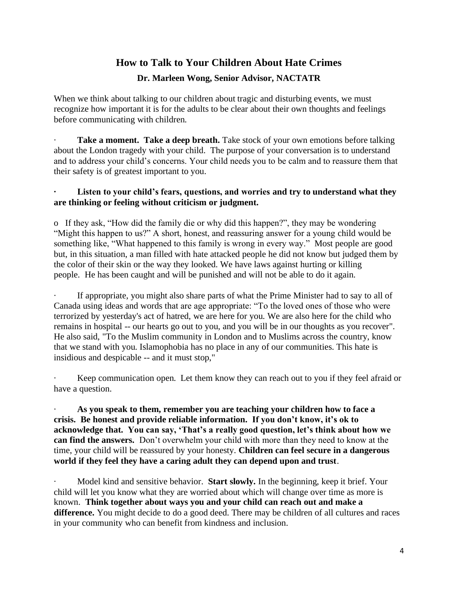# **How to Talk to Your Children About Hate Crimes**

## **Dr. Marleen Wong, Senior Advisor, NACTATR**

When we think about talking to our children about tragic and disturbing events, we must recognize how important it is for the adults to be clear about their own thoughts and feelings before communicating with children.

Take a moment. Take a deep breath. Take stock of your own emotions before talking about the London tragedy with your child. The purpose of your conversation is to understand and to address your child's concerns. Your child needs you to be calm and to reassure them that their safety is of greatest important to you.

#### Listen to your child's fears, questions, and worries and try to understand what they **are thinking or feeling without criticism or judgment.**

o If they ask, "How did the family die or why did this happen?", they may be wondering "Might this happen to us?" A short, honest, and reassuring answer for a young child would be something like, "What happened to this family is wrong in every way." Most people are good but, in this situation, a man filled with hate attacked people he did not know but judged them by the color of their skin or the way they looked. We have laws against hurting or killing people. He has been caught and will be punished and will not be able to do it again.

If appropriate, you might also share parts of what the Prime Minister had to say to all of Canada using ideas and words that are age appropriate: "To the loved ones of those who were terrorized by yesterday's act of hatred, we are here for you. We are also here for the child who remains in hospital -- our hearts go out to you, and you will be in our thoughts as you recover". He also said, "To the Muslim community in London and to Muslims across the country, know that we stand with you. Islamophobia has no place in any of our communities. This hate is insidious and despicable -- and it must stop,"

Keep communication open. Let them know they can reach out to you if they feel afraid or have a question.

· **As you speak to them, remember you are teaching your children how to face a crisis. Be honest and provide reliable information. If you don't know, it's ok to acknowledge that. You can say, 'That's a really good question, let's think about how we can find the answers.** Don't overwhelm your child with more than they need to know at the time, your child will be reassured by your honesty. **Children can feel secure in a dangerous world if they feel they have a caring adult they can depend upon and trust**.

· Model kind and sensitive behavior. **Start slowly.** In the beginning, keep it brief. Your child will let you know what they are worried about which will change over time as more is known. **Think together about ways you and your child can reach out and make a difference.** You might decide to do a good deed. There may be children of all cultures and races in your community who can benefit from kindness and inclusion.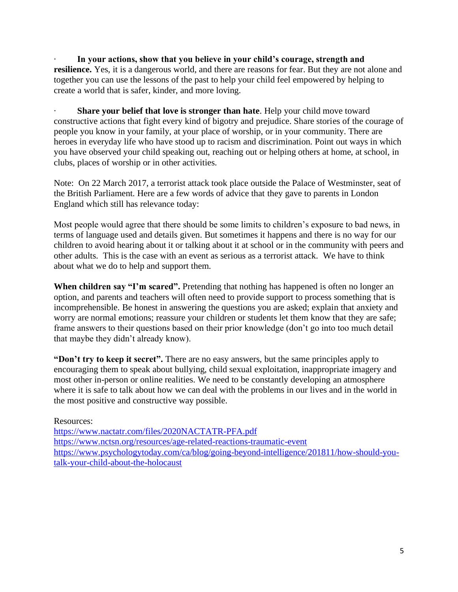In your actions, show that you believe in your child's courage, strength and **resilience.** Yes, it is a dangerous world, and there are reasons for fear. But they are not alone and together you can use the lessons of the past to help your child feel empowered by helping to create a world that is safer, kinder, and more loving.

**Share your belief that love is stronger than hate**. Help your child move toward constructive actions that fight every kind of bigotry and prejudice. Share stories of the courage of people you know in your family, at your place of worship, or in your community. There are heroes in everyday life who have stood up to racism and discrimination. Point out ways in which you have observed your child speaking out, reaching out or helping others at home, at school, in clubs, places of worship or in other activities.

Note: On 22 March 2017, a terrorist attack took place outside the Palace of Westminster, seat of the British Parliament. Here are a few words of advice that they gave to parents in London England which still has relevance today:

Most people would agree that there should be some limits to children's exposure to bad news, in terms of language used and details given. But sometimes it happens and there is no way for our children to avoid hearing about it or talking about it at school or in the community with peers and other adults. This is the case with an event as serious as a terrorist attack. We have to think about what we do to help and support them.

When children say "I'm scared". Pretending that nothing has happened is often no longer an option, and parents and teachers will often need to provide support to process something that is incomprehensible. Be honest in answering the questions you are asked; explain that anxiety and worry are normal emotions; reassure your children or students let them know that they are safe; frame answers to their questions based on their prior knowledge (don't go into too much detail that maybe they didn't already know).

**"Don't try to keep it secret".** There are no easy answers, but the same principles apply to encouraging them to speak about bullying, child sexual exploitation, inappropriate imagery and most other in-person or online realities. We need to be constantly developing an atmosphere where it is safe to talk about how we can deal with the problems in our lives and in the world in the most positive and constructive way possible.

Resources:

<https://www.nactatr.com/files/2020NACTATR-PFA.pdf> <https://www.nctsn.org/resources/age-related-reactions-traumatic-event> [https://www.psychologytoday.com/ca/blog/going-beyond-intelligence/201811/how-should-you](https://www.psychologytoday.com/ca/blog/going-beyond-intelligence/201811/how-should-you-talk-your-child-about-the-holocaust)[talk-your-child-about-the-holocaust](https://www.psychologytoday.com/ca/blog/going-beyond-intelligence/201811/how-should-you-talk-your-child-about-the-holocaust)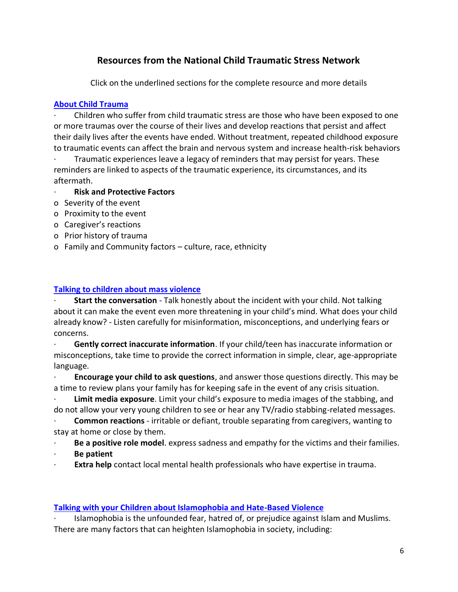# **Resources from the National Child Traumatic Stress Network**

Click on the underlined sections for the complete resource and more details

## **[About Child Trauma](https://www.nctsn.org/what-is-child-trauma/about-child-trauma)**

· Children who suffer from child traumatic stress are those who have been exposed to one or more traumas over the course of their lives and develop reactions that persist and affect their daily lives after the events have ended. Without treatment, repeated childhood exposure to traumatic events can affect the brain and nervous system and increase health-risk behaviors

Traumatic experiences leave a legacy of reminders that may persist for years. These reminders are linked to aspects of the traumatic experience, its circumstances, and its aftermath.

- **Risk and Protective Factors**
- o Severity of the event
- o Proximity to the event
- o Caregiver's reactions
- o Prior history of trauma
- o Family and Community factors culture, race, ethnicity

# **[Talking to children about mass violence](https://www.nctsn.org/sites/default/files/resources/talking_to_children_about_mass_violence.pdf)**

· **Start the conversation** - Talk honestly about the incident with your child. Not talking about it can make the event even more threatening in your child's mind. What does your child already know? - Listen carefully for misinformation, misconceptions, and underlying fears or concerns.

· **Gently correct inaccurate information**. If your child/teen has inaccurate information or misconceptions, take time to provide the correct information in simple, clear, age-appropriate language.

· **Encourage your child to ask questions**, and answer those questions directly. This may be a time to review plans your family has for keeping safe in the event of any crisis situation.

Limit media exposure. Limit your child's exposure to media images of the stabbing, and do not allow your very young children to see or hear any TV/radio stabbing-related messages.

· **Common reactions** - irritable or defiant, trouble separating from caregivers, wanting to stay at home or close by them.

· **Be a positive role model**. express sadness and empathy for the victims and their families.

· **Be patient**

**Extra help** contact local mental health professionals who have expertise in trauma.

# **[Talking with your Children about Islamophobia and Hate-Based Violence](https://www.nctsn.org/sites/default/files/resources/fact-sheet/talking_with_your_children_about_islamophobia_and_hate-based_violence.pdf)**

· Islamophobia is the unfounded fear, hatred of, or prejudice against Islam and Muslims. There are many factors that can heighten Islamophobia in society, including: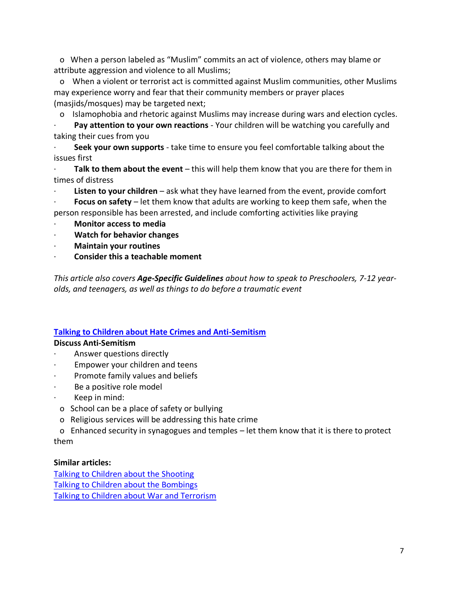o When a person labeled as "Muslim" commits an act of violence, others may blame or attribute aggression and violence to all Muslims;

o When a violent or terrorist act is committed against Muslim communities, other Muslims may experience worry and fear that their community members or prayer places (masjids/mosques) may be targeted next;

o Islamophobia and rhetoric against Muslims may increase during wars and election cycles.

· **Pay attention to your own reactions** - Your children will be watching you carefully and taking their cues from you

· **Seek your own supports** - take time to ensure you feel comfortable talking about the issues first

· **Talk to them about the event** – this will help them know that you are there for them in times of distress

**Listen to your children** – ask what they have learned from the event, provide comfort

**Focus on safety** – let them know that adults are working to keep them safe, when the person responsible has been arrested, and include comforting activities like praying

- · **Monitor access to media**
- · **Watch for behavior changes**
- · **Maintain your routines**
- · **Consider this a teachable moment**

*This article also covers Age-Specific Guidelines about how to speak to Preschoolers, 7-12 yearolds, and teenagers, as well as things to do before a traumatic event*

## **[Talking to Children about Hate Crimes and Anti-Semitism](https://www.nctsn.org/sites/default/files/resources/fact-sheet/talking_to_kids_about_hate_crimes_anti-semitism_final.pdf)**

## **Discuss Anti-Semitism**

- Answer questions directly
- Empower your children and teens
- Promote family values and beliefs
- Be a positive role model
- Keep in mind:
- o School can be a place of safety or bullying
- o Religious services will be addressing this hate crime
- o Enhanced security in synagogues and temples let them know that it is there to protect them

## **Similar articles:**

[Talking to Children about the Shooting](https://www.nctsn.org/sites/default/files/resources/talking_to_children_about_the_shooting.pdf) [Talking to Children about the Bombings](https://www.nctsn.org/sites/default/files/resources/talking_to_children_about_the_bombing.pdf) [Talking to Children about War and Terrorism](https://www.nctsn.org/sites/default/files/resources/talking_to_children_about_war_terrorism.pdf)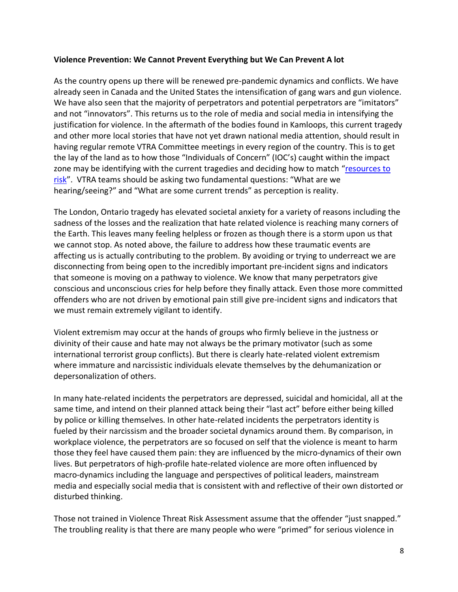#### **Violence Prevention: We Cannot Prevent Everything but We Can Prevent A lot**

As the country opens up there will be renewed pre-pandemic dynamics and conflicts. We have already seen in Canada and the United States the intensification of gang wars and gun violence. We have also seen that the majority of perpetrators and potential perpetrators are "imitators" and not "innovators". This returns us to the role of media and social media in intensifying the justification for violence. In the aftermath of the bodies found in Kamloops, this current tragedy and other more local stories that have not yet drawn national media attention, should result in having regular remote VTRA Committee meetings in every region of the country. This is to get the lay of the land as to how those "Individuals of Concern" (IOC's) caught within the impact zone may be identifying with the current tragedies and deciding how to match "resources to [risk](https://nactatr.com/news/alert-rising.html)". VTRA teams should be asking two fundamental questions: "What are we hearing/seeing?" and "What are some current trends" as perception is reality.

The London, Ontario tragedy has elevated societal anxiety for a variety of reasons including the sadness of the losses and the realization that hate related violence is reaching many corners of the Earth. This leaves many feeling helpless or frozen as though there is a storm upon us that we cannot stop. As noted above, the failure to address how these traumatic events are affecting us is actually contributing to the problem. By avoiding or trying to underreact we are disconnecting from being open to the incredibly important pre-incident signs and indicators that someone is moving on a pathway to violence. We know that many perpetrators give conscious and unconscious cries for help before they finally attack. Even those more committed offenders who are not driven by emotional pain still give pre-incident signs and indicators that we must remain extremely vigilant to identify.

Violent extremism may occur at the hands of groups who firmly believe in the justness or divinity of their cause and hate may not always be the primary motivator (such as some international terrorist group conflicts). But there is clearly hate-related violent extremism where immature and narcissistic individuals elevate themselves by the dehumanization or depersonalization of others.

In many hate-related incidents the perpetrators are depressed, suicidal and homicidal, all at the same time, and intend on their planned attack being their "last act" before either being killed by police or killing themselves. In other hate-related incidents the perpetrators identity is fueled by their narcissism and the broader societal dynamics around them. By comparison, in workplace violence, the perpetrators are so focused on self that the violence is meant to harm those they feel have caused them pain: they are influenced by the micro-dynamics of their own lives. But perpetrators of high-profile hate-related violence are more often influenced by macro-dynamics including the language and perspectives of political leaders, mainstream media and especially social media that is consistent with and reflective of their own distorted or disturbed thinking.

Those not trained in Violence Threat Risk Assessment assume that the offender "just snapped." The troubling reality is that there are many people who were "primed" for serious violence in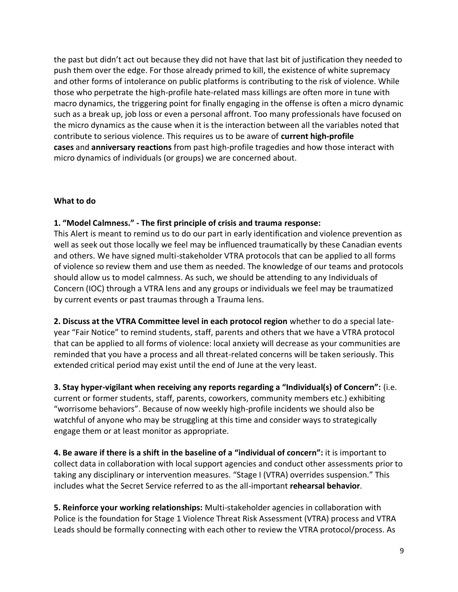the past but didn't act out because they did not have that last bit of justification they needed to push them over the edge. For those already primed to kill, the existence of white supremacy and other forms of intolerance on public platforms is contributing to the risk of violence. While those who perpetrate the high-profile hate-related mass killings are often more in tune with macro dynamics, the triggering point for finally engaging in the offense is often a micro dynamic such as a break up, job loss or even a personal affront. Too many professionals have focused on the micro dynamics as the cause when it is the interaction between all the variables noted that contribute to serious violence. This requires us to be aware of **current high-profile cases** and **anniversary reactions** from past high-profile tragedies and how those interact with micro dynamics of individuals (or groups) we are concerned about.

#### **What to do**

#### **1. "Model Calmness." - The first principle of crisis and trauma response:**

This Alert is meant to remind us to do our part in early identification and violence prevention as well as seek out those locally we feel may be influenced traumatically by these Canadian events and others. We have signed multi-stakeholder VTRA protocols that can be applied to all forms of violence so review them and use them as needed. The knowledge of our teams and protocols should allow us to model calmness. As such, we should be attending to any Individuals of Concern (IOC) through a VTRA lens and any groups or individuals we feel may be traumatized by current events or past traumas through a Trauma lens.

**2. Discuss at the VTRA Committee level in each protocol region** whether to do a special lateyear "Fair Notice" to remind students, staff, parents and others that we have a VTRA protocol that can be applied to all forms of violence: local anxiety will decrease as your communities are reminded that you have a process and all threat-related concerns will be taken seriously. This extended critical period may exist until the end of June at the very least.

**3. Stay hyper-vigilant when receiving any reports regarding a "Individual(s) of Concern":** (i.e. current or former students, staff, parents, coworkers, community members etc.) exhibiting "worrisome behaviors". Because of now weekly high-profile incidents we should also be watchful of anyone who may be struggling at this time and consider ways to strategically engage them or at least monitor as appropriate.

**4. Be aware if there is a shift in the baseline of a "individual of concern":** it is important to collect data in collaboration with local support agencies and conduct other assessments prior to taking any disciplinary or intervention measures. "Stage I (VTRA) overrides suspension." This includes what the Secret Service referred to as the all-important **rehearsal behavior**.

**5. Reinforce your working relationships:** Multi-stakeholder agencies in collaboration with Police is the foundation for Stage 1 Violence Threat Risk Assessment (VTRA) process and VTRA Leads should be formally connecting with each other to review the VTRA protocol/process. As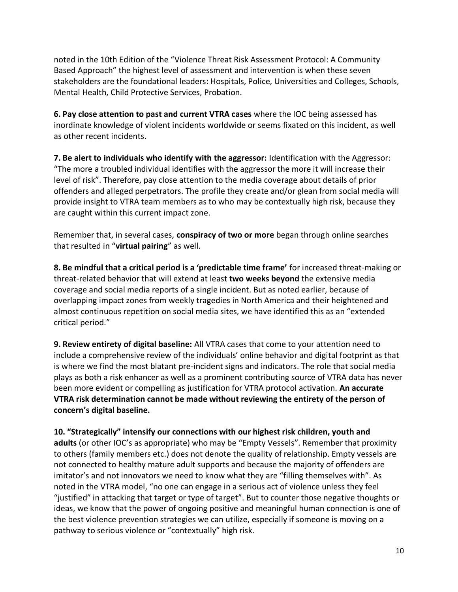noted in the 10th Edition of the "Violence Threat Risk Assessment Protocol: A Community Based Approach" the highest level of assessment and intervention is when these seven stakeholders are the foundational leaders: Hospitals, Police, Universities and Colleges, Schools, Mental Health, Child Protective Services, Probation.

**6. Pay close attention to past and current VTRA cases** where the IOC being assessed has inordinate knowledge of violent incidents worldwide or seems fixated on this incident, as well as other recent incidents.

**7. Be alert to individuals who identify with the aggressor:** Identification with the Aggressor: "The more a troubled individual identifies with the aggressor the more it will increase their level of risk". Therefore, pay close attention to the media coverage about details of prior offenders and alleged perpetrators. The profile they create and/or glean from social media will provide insight to VTRA team members as to who may be contextually high risk, because they are caught within this current impact zone.

Remember that, in several cases, **conspiracy of two or more** began through online searches that resulted in "**virtual pairing**" as well.

**8. Be mindful that a critical period is a 'predictable time frame'** for increased threat-making or threat-related behavior that will extend at least **two weeks beyond** the extensive media coverage and social media reports of a single incident. But as noted earlier, because of overlapping impact zones from weekly tragedies in North America and their heightened and almost continuous repetition on social media sites, we have identified this as an "extended critical period."

**9. Review entirety of digital baseline:** All VTRA cases that come to your attention need to include a comprehensive review of the individuals' online behavior and digital footprint as that is where we find the most blatant pre-incident signs and indicators. The role that social media plays as both a risk enhancer as well as a prominent contributing source of VTRA data has never been more evident or compelling as justification for VTRA protocol activation. **An accurate VTRA risk determination cannot be made without reviewing the entirety of the person of concern's digital baseline.**

**10. "Strategically" intensify our connections with our highest risk children, youth and adults** (or other IOC's as appropriate) who may be "Empty Vessels". Remember that proximity to others (family members etc.) does not denote the quality of relationship. Empty vessels are not connected to healthy mature adult supports and because the majority of offenders are imitator's and not innovators we need to know what they are "filling themselves with". As noted in the VTRA model, "no one can engage in a serious act of violence unless they feel "justified" in attacking that target or type of target". But to counter those negative thoughts or ideas, we know that the power of ongoing positive and meaningful human connection is one of the best violence prevention strategies we can utilize, especially if someone is moving on a pathway to serious violence or "contextually" high risk.